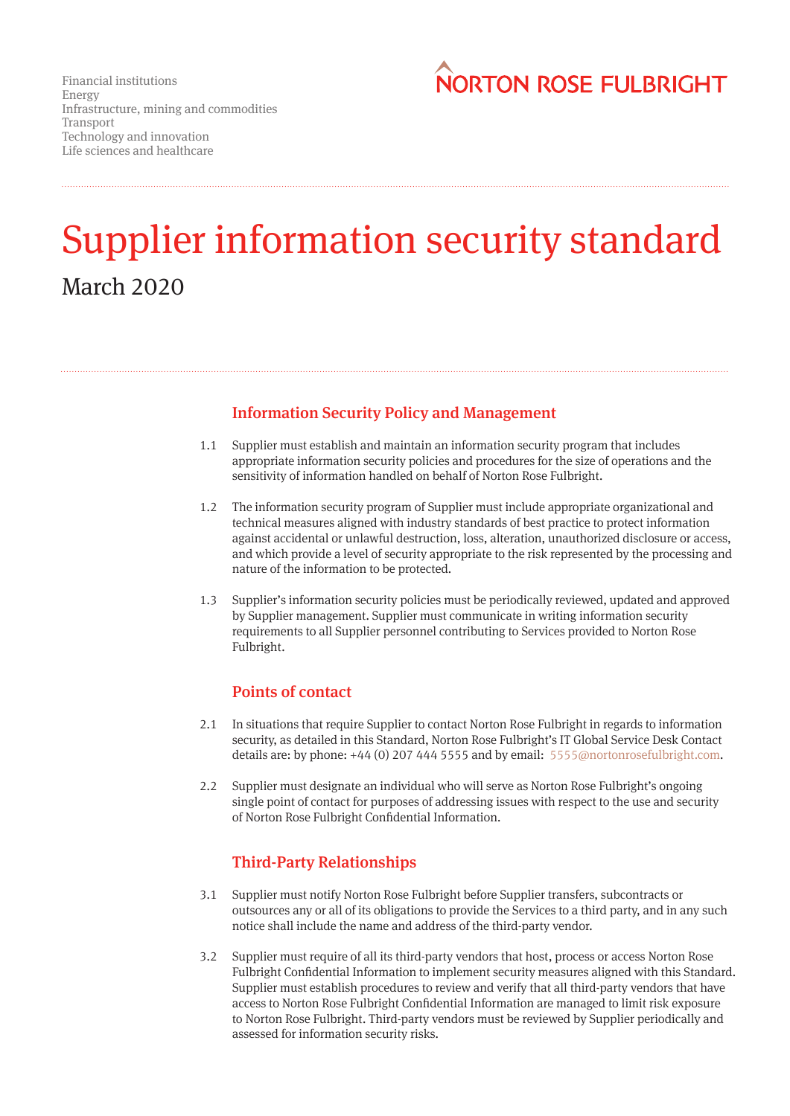

# Supplier information security standard March 2020

# Information Security Policy and Management

- Supplier must establish and maintain an information security program that includes appropriate information security policies and procedures for the size of operations and the sensitivity of information handled on behalf of Norton Rose Fulbright. 1.1
- The information security program of Supplier must include appropriate organizational and technical measures aligned with industry standards of best practice to protect information against accidental or unlawful destruction, loss, alteration, unauthorized disclosure or access, and which provide a level of security appropriate to the risk represented by the processing and nature of the information to be protected. 1.2
- 1.3 Supplier's information security policies must be periodically reviewed, updated and approved by Supplier management. Supplier must communicate in writing information security requirements to all Supplier personnel contributing to Services provided to Norton Rose Fulbright.

#### Points of contact

- In situations that require Supplier to contact Norton Rose Fulbright in regards to information security, as detailed in this Standard, Norton Rose Fulbright's IT Global Service Desk Contact details are: by phone: +44 (0) 207 444 5555 and by email: 5555@nortonrosefulbright.com. 2.1
- Supplier must designate an individual who will serve as Norton Rose Fulbright's ongoing single point of contact for purposes of addressing issues with respect to the use and security of Norton Rose Fulbright Confidential Information.  $2.2<sub>2</sub>$

## Third-Party Relationships

- Supplier must notify Norton Rose Fulbright before Supplier transfers, subcontracts or outsources any or all of its obligations to provide the Services to a third party, and in any such notice shall include the name and address of the third-party vendor. 3.1
- Supplier must require of all its third-party vendors that host, process or access Norton Rose 3.2Fulbright Confidential Information to implement security measures aligned with this Standard. Supplier must establish procedures to review and verify that all third-party vendors that have access to Norton Rose Fulbright Confidential Information are managed to limit risk exposure to Norton Rose Fulbright. Third-party vendors must be reviewed by Supplier periodically and assessed for information security risks.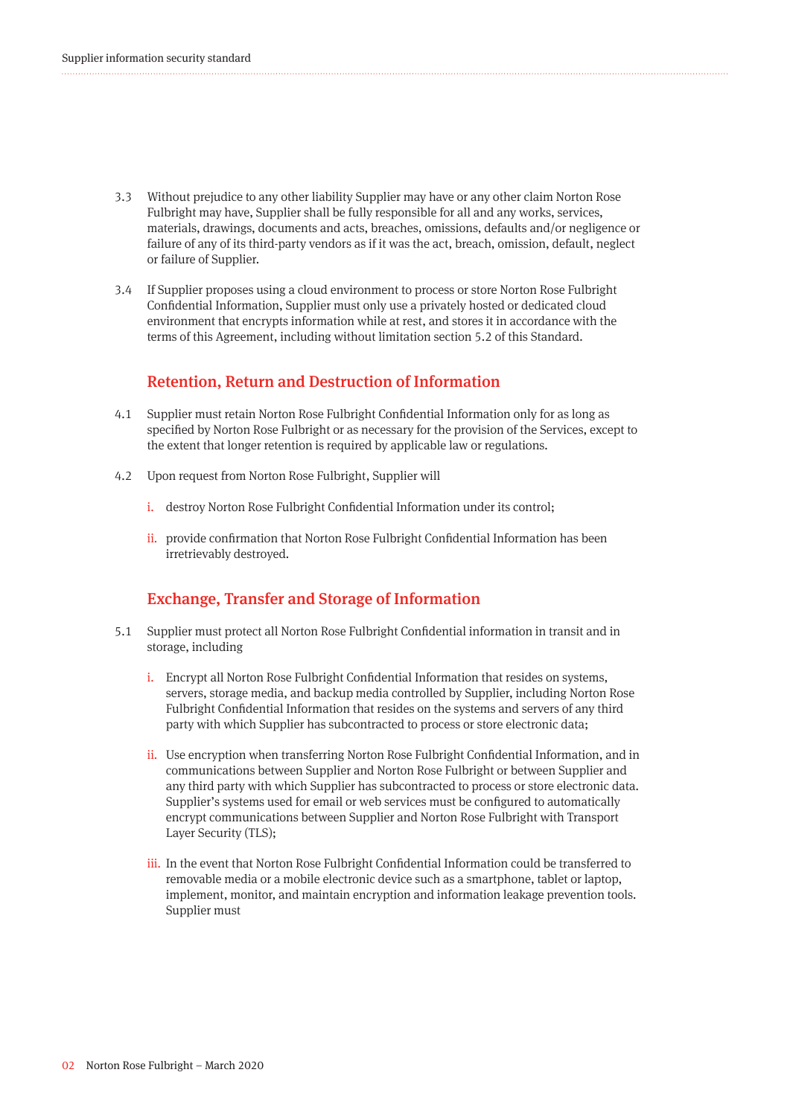- Without prejudice to any other liability Supplier may have or any other claim Norton Rose 3.3 Fulbright may have, Supplier shall be fully responsible for all and any works, services, materials, drawings, documents and acts, breaches, omissions, defaults and/or negligence or failure of any of its third-party vendors as if it was the act, breach, omission, default, neglect or failure of Supplier.
- If Supplier proposes using a cloud environment to process or store Norton Rose Fulbright 3.4 Confidential Information, Supplier must only use a privately hosted or dedicated cloud environment that encrypts information while at rest, and stores it in accordance with the terms of this Agreement, including without limitation section 5.2 of this Standard.

#### Retention, Return and Destruction of Information

- Supplier must retain Norton Rose Fulbright Confidential Information only for as long as specified by Norton Rose Fulbright or as necessary for the provision of the Services, except to the extent that longer retention is required by applicable law or regulations. 4.1
- Upon request from Norton Rose Fulbright, Supplier will 4.2
	- i. destroy Norton Rose Fulbright Confidential Information under its control;
	- ii. provide confirmation that Norton Rose Fulbright Confidential Information has been irretrievably destroyed.

#### Exchange, Transfer and Storage of Information

- 5.1 Supplier must protect all Norton Rose Fulbright Confidential information in transit and in storage, including
	- i. Encrypt all Norton Rose Fulbright Confidential Information that resides on systems, servers, storage media, and backup media controlled by Supplier, including Norton Rose Fulbright Confidential Information that resides on the systems and servers of any third party with which Supplier has subcontracted to process or store electronic data;
	- ii. Use encryption when transferring Norton Rose Fulbright Confidential Information, and in communications between Supplier and Norton Rose Fulbright or between Supplier and any third party with which Supplier has subcontracted to process or store electronic data. Supplier's systems used for email or web services must be configured to automatically encrypt communications between Supplier and Norton Rose Fulbright with Transport Layer Security (TLS);
	- iii. In the event that Norton Rose Fulbright Confidential Information could be transferred to removable media or a mobile electronic device such as a smartphone, tablet or laptop, implement, monitor, and maintain encryption and information leakage prevention tools. Supplier must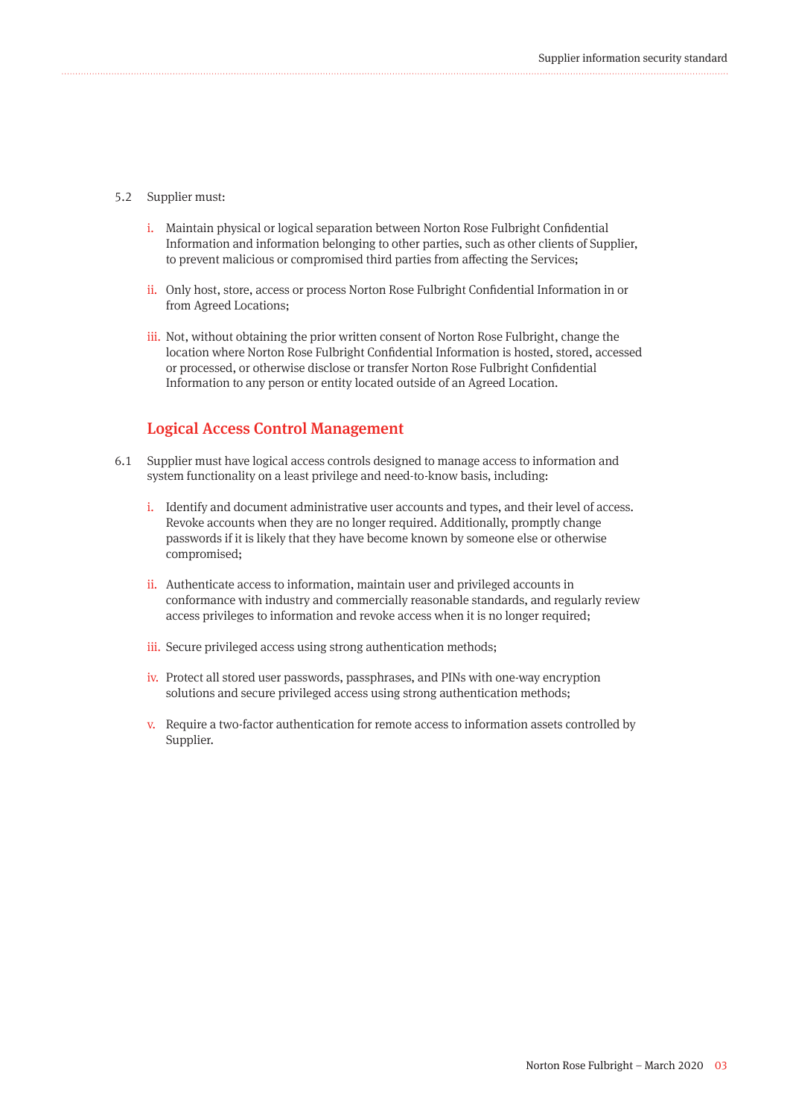#### 5.2 Supplier must:

- i. Maintain physical or logical separation between Norton Rose Fulbright Confidential Information and information belonging to other parties, such as other clients of Supplier, to prevent malicious or compromised third parties from affecting the Services;
- ii. Only host, store, access or process Norton Rose Fulbright Confidential Information in or from Agreed Locations;
- iii. Not, without obtaining the prior written consent of Norton Rose Fulbright, change the location where Norton Rose Fulbright Confidential Information is hosted, stored, accessed or processed, or otherwise disclose or transfer Norton Rose Fulbright Confidential Information to any person or entity located outside of an Agreed Location.

#### Logical Access Control Management

- Supplier must have logical access controls designed to manage access to information and 6.1system functionality on a least privilege and need-to-know basis, including:
	- i. Identify and document administrative user accounts and types, and their level of access. Revoke accounts when they are no longer required. Additionally, promptly change passwords if it is likely that they have become known by someone else or otherwise compromised;
	- ii. Authenticate access to information, maintain user and privileged accounts in conformance with industry and commercially reasonable standards, and regularly review access privileges to information and revoke access when it is no longer required;
	- iii. Secure privileged access using strong authentication methods;
	- iv. Protect all stored user passwords, passphrases, and PINs with one-way encryption solutions and secure privileged access using strong authentication methods;
	- v. Require a two-factor authentication for remote access to information assets controlled by Supplier.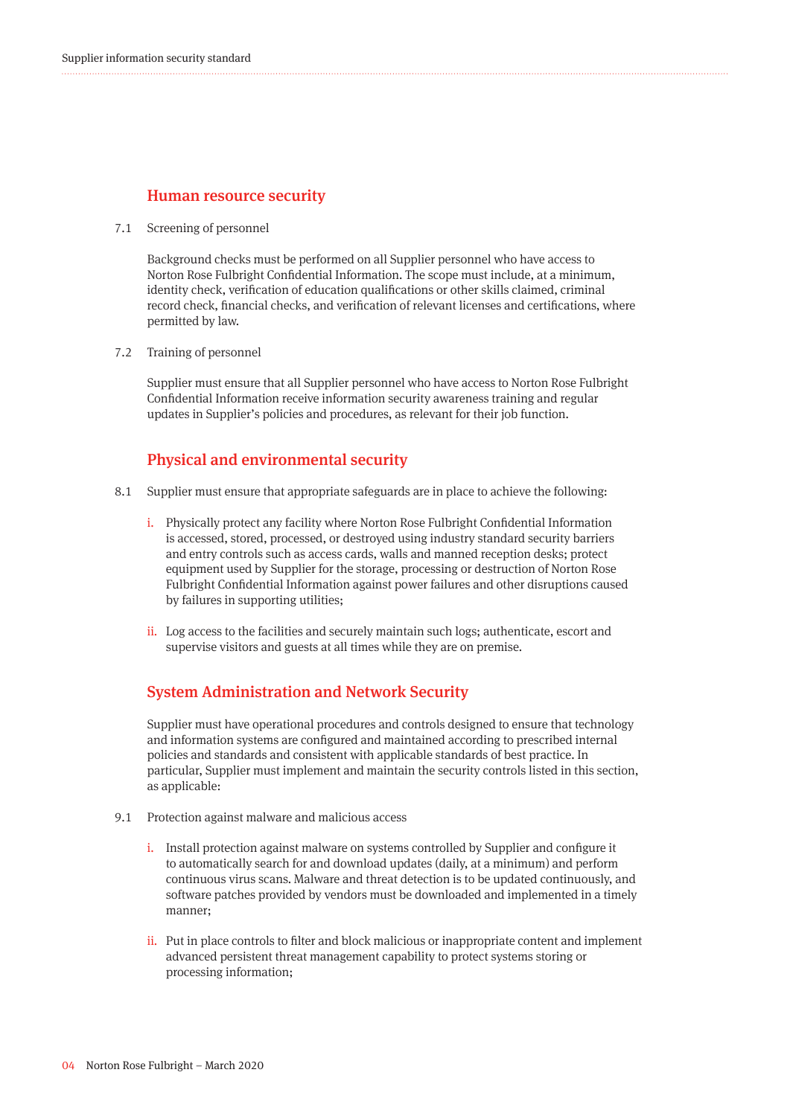#### Human resource security

7.1 Screening of personnel

Background checks must be performed on all Supplier personnel who have access to Norton Rose Fulbright Confidential Information. The scope must include, at a minimum, identity check, verification of education qualifications or other skills claimed, criminal record check, financial checks, and verification of relevant licenses and certifications, where permitted by law.

Training of personnel 7.2

Supplier must ensure that all Supplier personnel who have access to Norton Rose Fulbright Confidential Information receive information security awareness training and regular updates in Supplier's policies and procedures, as relevant for their job function.

#### Physical and environmental security

- 8.1 Supplier must ensure that appropriate safeguards are in place to achieve the following:
	- i. Physically protect any facility where Norton Rose Fulbright Confidential Information is accessed, stored, processed, or destroyed using industry standard security barriers and entry controls such as access cards, walls and manned reception desks; protect equipment used by Supplier for the storage, processing or destruction of Norton Rose Fulbright Confidential Information against power failures and other disruptions caused by failures in supporting utilities;
	- ii. Log access to the facilities and securely maintain such logs; authenticate, escort and supervise visitors and guests at all times while they are on premise.

#### System Administration and Network Security

Supplier must have operational procedures and controls designed to ensure that technology and information systems are configured and maintained according to prescribed internal policies and standards and consistent with applicable standards of best practice. In particular, Supplier must implement and maintain the security controls listed in this section, as applicable:

- Protection against malware and malicious access 9.1
	- i. Install protection against malware on systems controlled by Supplier and configure it to automatically search for and download updates (daily, at a minimum) and perform continuous virus scans. Malware and threat detection is to be updated continuously, and software patches provided by vendors must be downloaded and implemented in a timely manner;
	- ii. Put in place controls to filter and block malicious or inappropriate content and implement advanced persistent threat management capability to protect systems storing or processing information;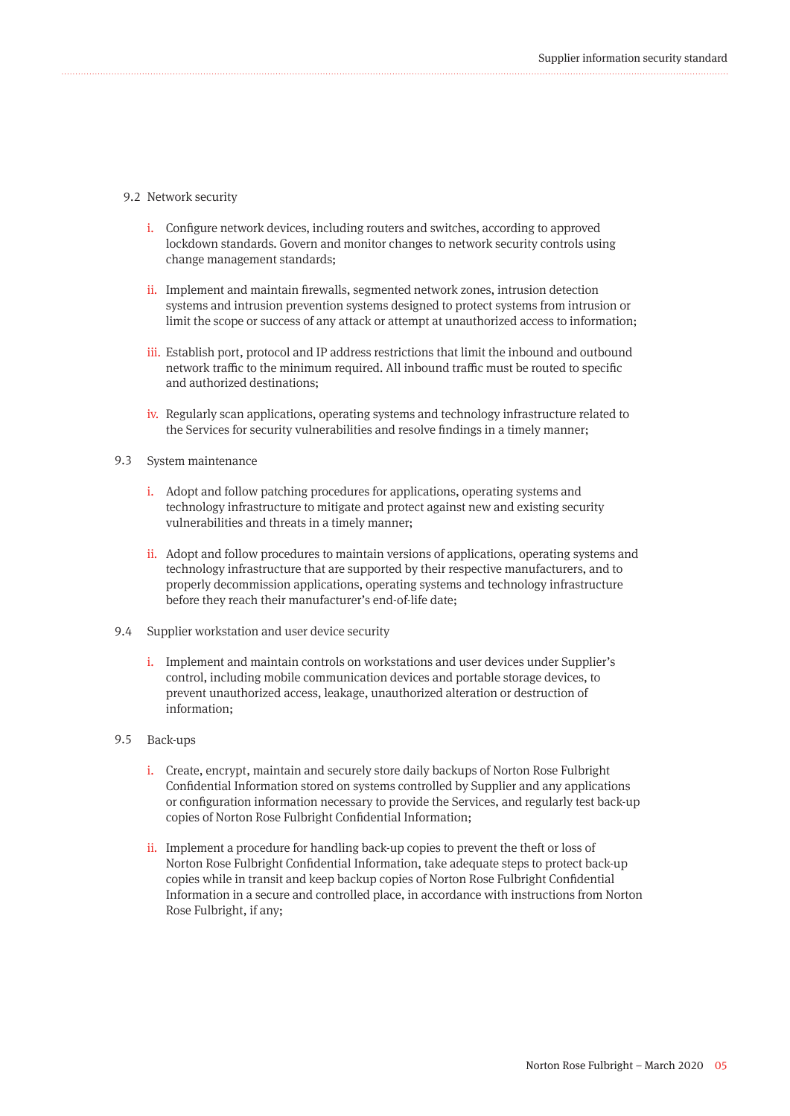#### 9.2 Network security

- i. Configure network devices, including routers and switches, according to approved lockdown standards. Govern and monitor changes to network security controls using change management standards;
- ii. Implement and maintain firewalls, segmented network zones, intrusion detection systems and intrusion prevention systems designed to protect systems from intrusion or limit the scope or success of any attack or attempt at unauthorized access to information;
- iii. Establish port, protocol and IP address restrictions that limit the inbound and outbound network traffic to the minimum required. All inbound traffic must be routed to specific and authorized destinations;
- iv. Regularly scan applications, operating systems and technology infrastructure related to the Services for security vulnerabilities and resolve findings in a timely manner;
- 9.3 System maintenance
	- i. Adopt and follow patching procedures for applications, operating systems and technology infrastructure to mitigate and protect against new and existing security vulnerabilities and threats in a timely manner;
	- ii. Adopt and follow procedures to maintain versions of applications, operating systems and technology infrastructure that are supported by their respective manufacturers, and to properly decommission applications, operating systems and technology infrastructure before they reach their manufacturer's end-of-life date;
- 9.4 Supplier workstation and user device security
	- i. Implement and maintain controls on workstations and user devices under Supplier's control, including mobile communication devices and portable storage devices, to prevent unauthorized access, leakage, unauthorized alteration or destruction of information;
- 9.5 Back-ups
	- i. Create, encrypt, maintain and securely store daily backups of Norton Rose Fulbright Confidential Information stored on systems controlled by Supplier and any applications or configuration information necessary to provide the Services, and regularly test back-up copies of Norton Rose Fulbright Confidential Information;
	- ii. Implement a procedure for handling back-up copies to prevent the theft or loss of Norton Rose Fulbright Confidential Information, take adequate steps to protect back-up copies while in transit and keep backup copies of Norton Rose Fulbright Confidential Information in a secure and controlled place, in accordance with instructions from Norton Rose Fulbright, if any;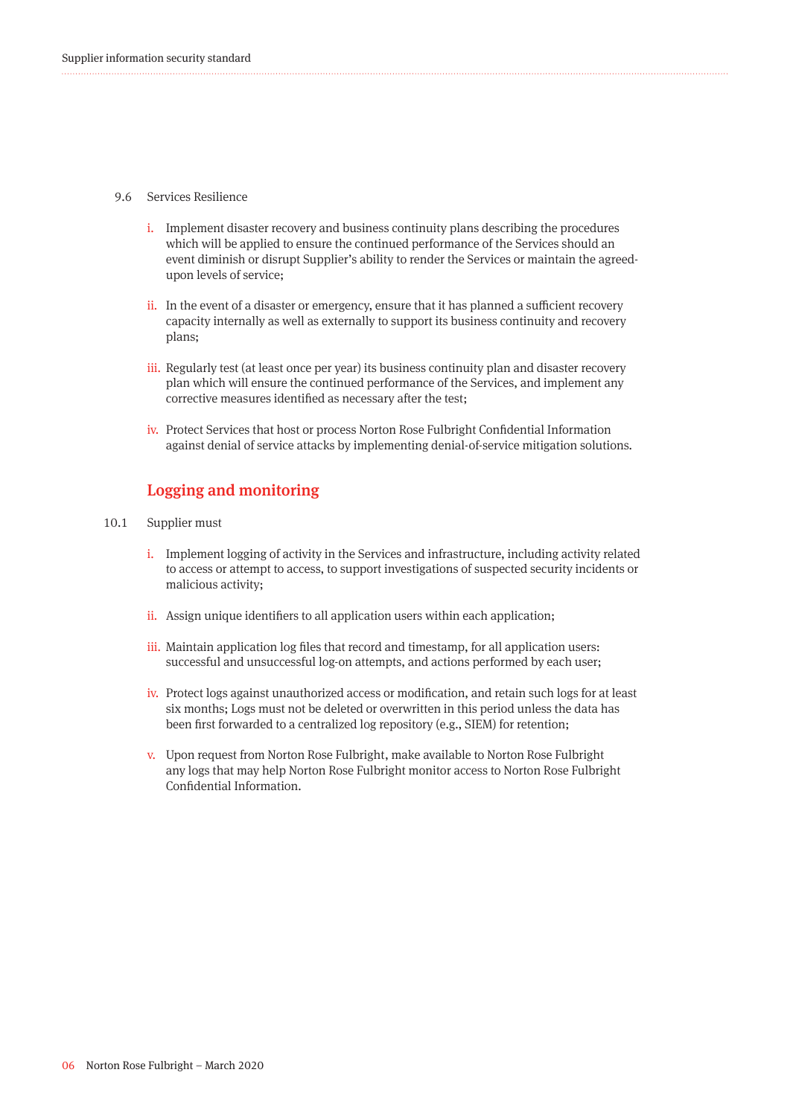- 9.6 Services Resilience
	- i. Implement disaster recovery and business continuity plans describing the procedures which will be applied to ensure the continued performance of the Services should an event diminish or disrupt Supplier's ability to render the Services or maintain the agreedupon levels of service;
	- ii. In the event of a disaster or emergency, ensure that it has planned a sufficient recovery capacity internally as well as externally to support its business continuity and recovery plans;
	- iii. Regularly test (at least once per year) its business continuity plan and disaster recovery plan which will ensure the continued performance of the Services, and implement any corrective measures identified as necessary after the test;
	- iv. Protect Services that host or process Norton Rose Fulbright Confidential Information against denial of service attacks by implementing denial-of-service mitigation solutions.

#### Logging and monitoring

- Supplier must 10.1
	- i. Implement logging of activity in the Services and infrastructure, including activity related to access or attempt to access, to support investigations of suspected security incidents or malicious activity;
	- ii. Assign unique identifiers to all application users within each application;
	- iii. Maintain application log files that record and timestamp, for all application users: successful and unsuccessful log-on attempts, and actions performed by each user;
	- iv. Protect logs against unauthorized access or modification, and retain such logs for at least six months; Logs must not be deleted or overwritten in this period unless the data has been first forwarded to a centralized log repository (e.g., SIEM) for retention;
	- v. Upon request from Norton Rose Fulbright, make available to Norton Rose Fulbright any logs that may help Norton Rose Fulbright monitor access to Norton Rose Fulbright Confidential Information.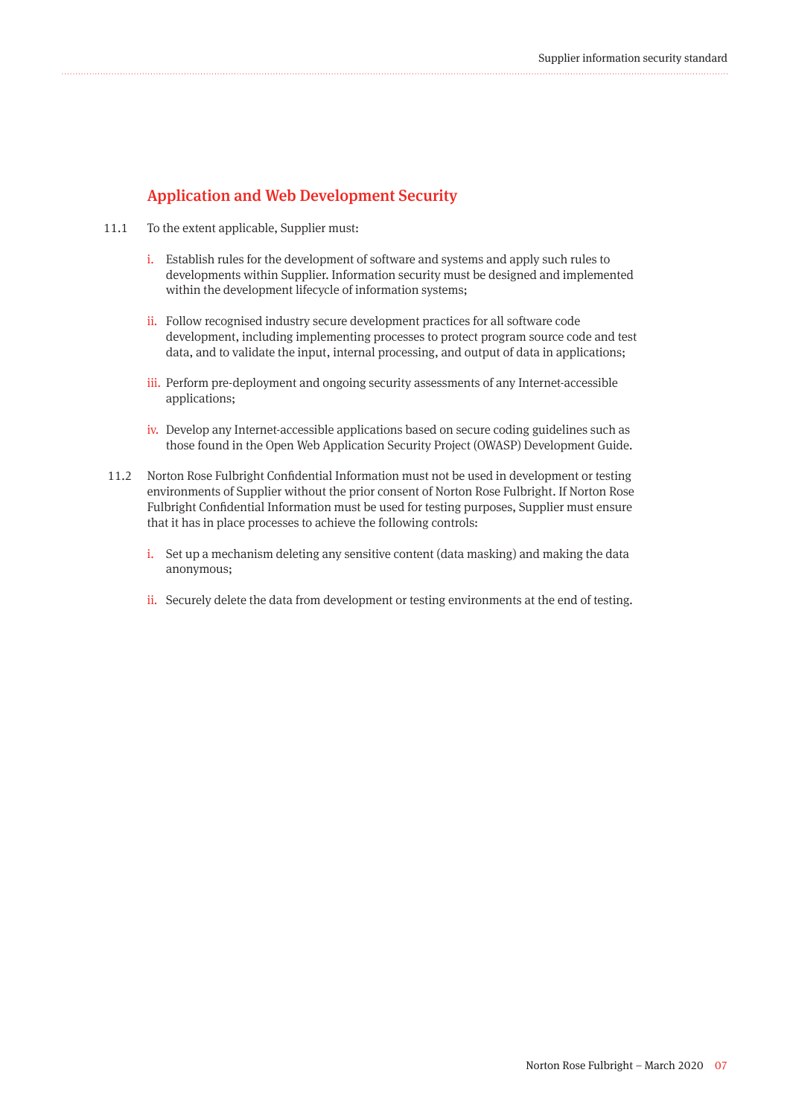### Application and Web Development Security

- 11.1 To the extent applicable, Supplier must:
	- i. Establish rules for the development of software and systems and apply such rules to developments within Supplier. Information security must be designed and implemented within the development lifecycle of information systems;
	- ii. Follow recognised industry secure development practices for all software code development, including implementing processes to protect program source code and test data, and to validate the input, internal processing, and output of data in applications;
	- iii. Perform pre-deployment and ongoing security assessments of any Internet-accessible applications;
	- iv. Develop any Internet-accessible applications based on secure coding guidelines such as those found in the Open Web Application Security Project (OWASP) Development Guide.
- 11.2 Norton Rose Fulbright Confidential Information must not be used in development or testing environments of Supplier without the prior consent of Norton Rose Fulbright. If Norton Rose Fulbright Confidential Information must be used for testing purposes, Supplier must ensure that it has in place processes to achieve the following controls:
	- i. Set up a mechanism deleting any sensitive content (data masking) and making the data anonymous;
	- ii. Securely delete the data from development or testing environments at the end of testing.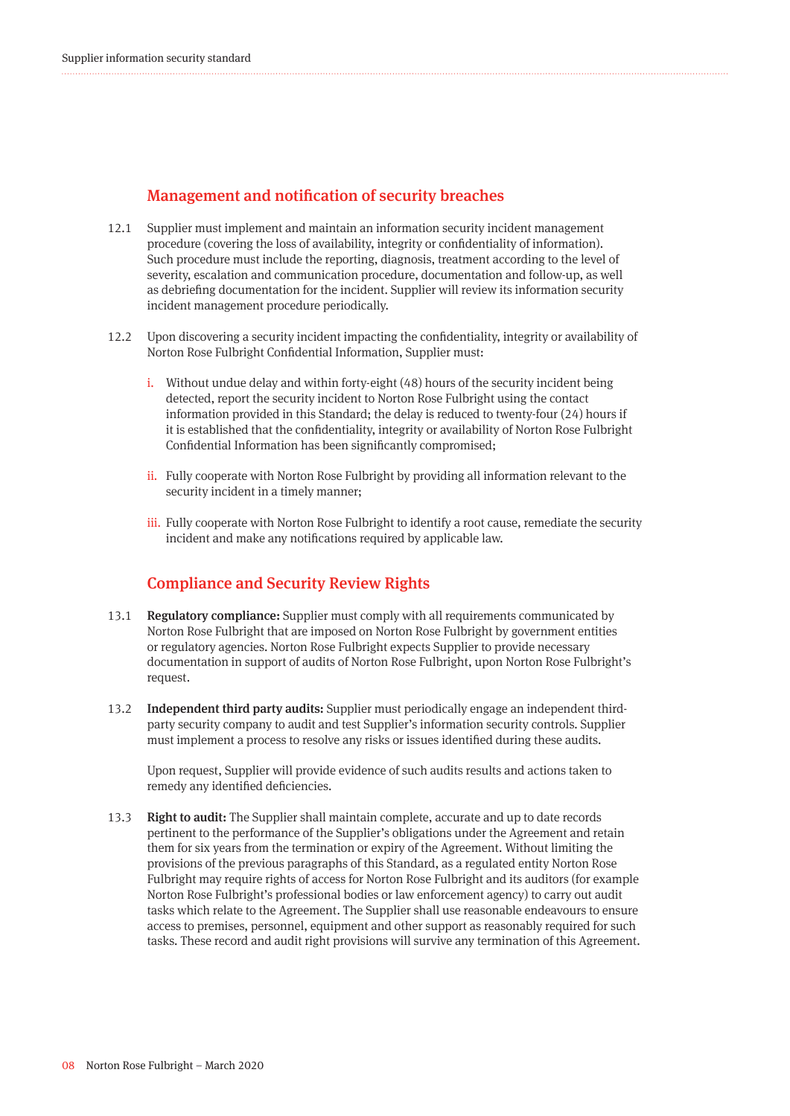#### Management and notification of security breaches

- Supplier must implement and maintain an information security incident management procedure (covering the loss of availability, integrity or confidentiality of information). Such procedure must include the reporting, diagnosis, treatment according to the level of severity, escalation and communication procedure, documentation and follow-up, as well as debriefing documentation for the incident. Supplier will review its information security incident management procedure periodically. 12.1
- Upon discovering a security incident impacting the confidentiality, integrity or availability of 12.2 Norton Rose Fulbright Confidential Information, Supplier must:
	- i. Without undue delay and within forty-eight (48) hours of the security incident being detected, report the security incident to Norton Rose Fulbright using the contact information provided in this Standard; the delay is reduced to twenty-four (24) hours if it is established that the confidentiality, integrity or availability of Norton Rose Fulbright Confidential Information has been significantly compromised;
	- ii. Fully cooperate with Norton Rose Fulbright by providing all information relevant to the security incident in a timely manner;
	- iii. Fully cooperate with Norton Rose Fulbright to identify a root cause, remediate the security incident and make any notifications required by applicable law.

#### Compliance and Security Review Rights

- Regulatory compliance: Supplier must comply with all requirements communicated by Norton Rose Fulbright that are imposed on Norton Rose Fulbright by government entities or regulatory agencies. Norton Rose Fulbright expects Supplier to provide necessary documentation in support of audits of Norton Rose Fulbright, upon Norton Rose Fulbright's request. 13.1
- Independent third party audits: Supplier must periodically engage an independent thirdparty security company to audit and test Supplier's information security controls. Supplier must implement a process to resolve any risks or issues identified during these audits. 13.2

Upon request, Supplier will provide evidence of such audits results and actions taken to remedy any identified deficiencies.

Right to audit: The Supplier shall maintain complete, accurate and up to date records pertinent to the performance of the Supplier's obligations under the Agreement and retain them for six years from the termination or expiry of the Agreement. Without limiting the provisions of the previous paragraphs of this Standard, as a regulated entity Norton Rose Fulbright may require rights of access for Norton Rose Fulbright and its auditors (for example Norton Rose Fulbright's professional bodies or law enforcement agency) to carry out audit tasks which relate to the Agreement. The Supplier shall use reasonable endeavours to ensure access to premises, personnel, equipment and other support as reasonably required for such tasks. These record and audit right provisions will survive any termination of this Agreement. 13.3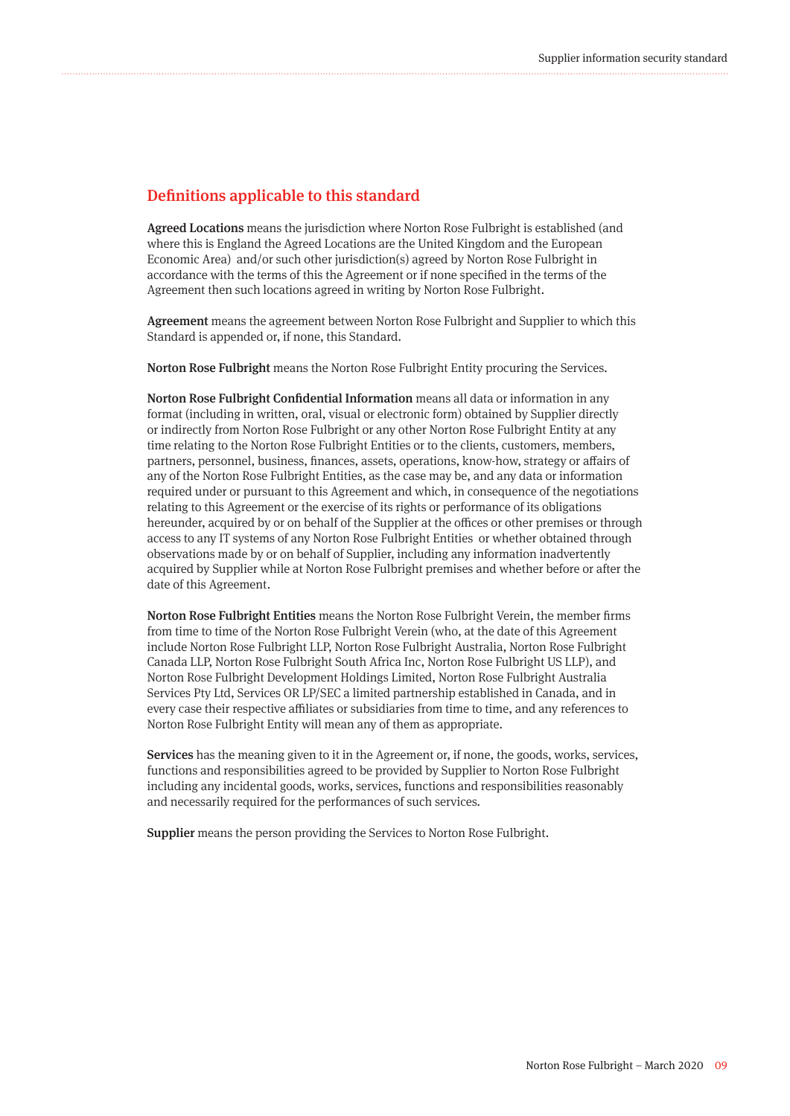#### Definitions applicable to this standard

Agreed Locations means the jurisdiction where Norton Rose Fulbright is established (and where this is England the Agreed Locations are the United Kingdom and the European Economic Area) and/or such other jurisdiction(s) agreed by Norton Rose Fulbright in accordance with the terms of this the Agreement or if none specified in the terms of the Agreement then such locations agreed in writing by Norton Rose Fulbright.

Agreement means the agreement between Norton Rose Fulbright and Supplier to which this Standard is appended or, if none, this Standard.

Norton Rose Fulbright means the Norton Rose Fulbright Entity procuring the Services.

Norton Rose Fulbright Confidential Information means all data or information in any format (including in written, oral, visual or electronic form) obtained by Supplier directly or indirectly from Norton Rose Fulbright or any other Norton Rose Fulbright Entity at any time relating to the Norton Rose Fulbright Entities or to the clients, customers, members, partners, personnel, business, finances, assets, operations, know-how, strategy or affairs of any of the Norton Rose Fulbright Entities, as the case may be, and any data or information required under or pursuant to this Agreement and which, in consequence of the negotiations relating to this Agreement or the exercise of its rights or performance of its obligations hereunder, acquired by or on behalf of the Supplier at the offices or other premises or through access to any IT systems of any Norton Rose Fulbright Entities or whether obtained through observations made by or on behalf of Supplier, including any information inadvertently acquired by Supplier while at Norton Rose Fulbright premises and whether before or after the date of this Agreement.

Norton Rose Fulbright Entities means the Norton Rose Fulbright Verein, the member firms from time to time of the Norton Rose Fulbright Verein (who, at the date of this Agreement include Norton Rose Fulbright LLP, Norton Rose Fulbright Australia, Norton Rose Fulbright Canada LLP, Norton Rose Fulbright South Africa Inc, Norton Rose Fulbright US LLP), and Norton Rose Fulbright Development Holdings Limited, Norton Rose Fulbright Australia Services Pty Ltd, Services OR LP/SEC a limited partnership established in Canada, and in every case their respective affiliates or subsidiaries from time to time, and any references to Norton Rose Fulbright Entity will mean any of them as appropriate.

Services has the meaning given to it in the Agreement or, if none, the goods, works, services, functions and responsibilities agreed to be provided by Supplier to Norton Rose Fulbright including any incidental goods, works, services, functions and responsibilities reasonably and necessarily required for the performances of such services.

Supplier means the person providing the Services to Norton Rose Fulbright.